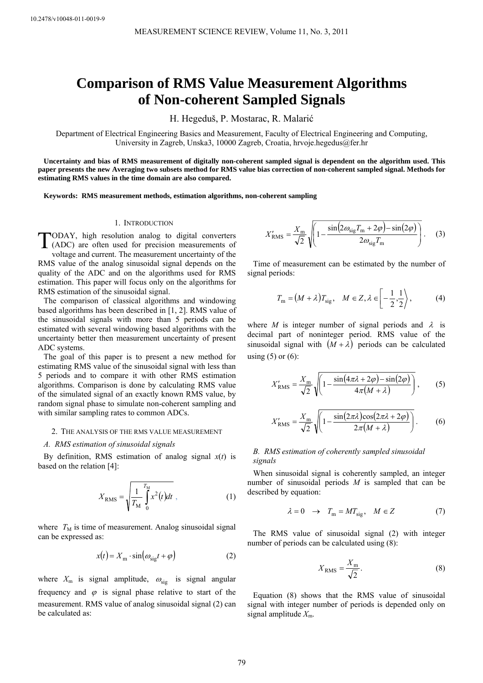# **Comparison of RMS Value Measurement Algorithms of Non-coherent Sampled Signals**

H. Hegeduš, P. Mostarac, R. Malarić

Department of Electrical Engineering Basics and Measurement, Faculty of Electrical Engineering and Computing, University in Zagreb, Unska3, 10000 Zagreb, Croatia, hrvoje.hegedus@fer.hr

**Uncertainty and bias of RMS measurement of digitally non-coherent sampled signal is dependent on the algorithm used. This paper presents the new Averaging two subsets method for RMS value bias correction of non-coherent sampled signal. Methods for estimating RMS values in the time domain are also compared.** 

**Keywords: RMS measurement methods, estimation algorithms, non-coherent sampling** 

#### 1. INTRODUCTION

ODAY, high resolution analog to digital converters TODAY, high resolution analog to digital converters<br>
(ADC) are often used for precision measurements of voltage and current. The measurement uncertainty of the RMS value of the analog sinusoidal signal depends on the quality of the ADC and on the algorithms used for RMS estimation. This paper will focus only on the algorithms for RMS estimation of the sinusoidal signal.

The comparison of classical algorithms and windowing based algorithms has been described in [1, 2]. RMS value of the sinusoidal signals with more than 5 periods can be estimated with several windowing based algorithms with the uncertainty better then measurement uncertainty of present ADC systems.

The goal of this paper is to present a new method for estimating RMS value of the sinusoidal signal with less than 5 periods and to compare it with other RMS estimation algorithms. Comparison is done by calculating RMS value of the simulated signal of an exactly known RMS value, by random signal phase to simulate non-coherent sampling and with similar sampling rates to common ADCs.

#### 2. THE ANALYSIS OF THE RMS VALUE MEASUREMENT

#### *A. RMS estimation of sinusoidal signals*

By definition, RMS estimation of analog signal  $x(t)$  is based on the relation [4]:

$$
X_{\rm RMS} = \sqrt{\frac{1}{T_{\rm M}} \int_{0}^{T_{\rm M}} x^2(t) dt} \,\, , \tag{1}
$$

where  $T_M$  is time of measurement. Analog sinusoidal signal can be expressed as:

$$
x(t) = Xm \cdot \sin(\omega_{\text{sig}}t + \varphi)
$$
 (2)

where  $X_{\text{m}}$  is signal amplitude,  $\omega_{\text{sig}}$  is signal angular frequency and  $\varphi$  is signal phase relative to start of the measurement. RMS value of analog sinusoidal signal (2) can be calculated as:

$$
X'_{\text{RMS}} = \frac{X_{\text{m}}}{\sqrt{2}} \sqrt{1 - \frac{\sin(2\omega_{\text{sig}} T_{\text{m}} + 2\varphi) - \sin(2\varphi)}{2\omega_{\text{sig}} T_{\text{m}}}}.
$$
 (3)

Time of measurement can be estimated by the number of signal periods:

$$
T_{\rm m} = (M + \lambda) T_{\rm sig}, \quad M \in Z, \lambda \in \left[ -\frac{1}{2}, \frac{1}{2} \right), \tag{4}
$$

where *M* is integer number of signal periods and  $\lambda$  is decimal part of noninteger period. RMS value of the sinusoidal signal with  $(M + \lambda)$  periods can be calculated using  $(5)$  or  $(6)$ :

$$
X'_{\text{RMS}} = \frac{X_{\text{m}}}{\sqrt{2}} \sqrt{\left(1 - \frac{\sin(4\pi\lambda + 2\varphi) - \sin(2\varphi)}{4\pi(M + \lambda)}\right)},\tag{5}
$$

$$
X'_{\text{RMS}} = \frac{X_{\text{m}}}{\sqrt{2}} \sqrt{1 - \frac{\sin(2\pi\lambda)\cos(2\pi\lambda + 2\varphi)}{2\pi(M + \lambda)}}.
$$
 (6)

# *B. RMS estimation of coherently sampled sinusoidal signals*

When sinusoidal signal is coherently sampled, an integer number of sinusoidal periods *M* is sampled that can be described by equation:

$$
\lambda = 0 \quad \rightarrow \quad T_{\text{m}} = MT_{\text{sig}}, \quad M \in Z \tag{7}
$$

 number of periods can be calculated using (8): The RMS value of sinusoidal signal (2) with integer

$$
X_{\rm RMS} = \frac{X_{\rm m}}{\sqrt{2}}.\tag{8}
$$

Equation (8) shows that the RMS value of sinusoidal signal with integer number of periods is depended only on signal amplitude *X*m.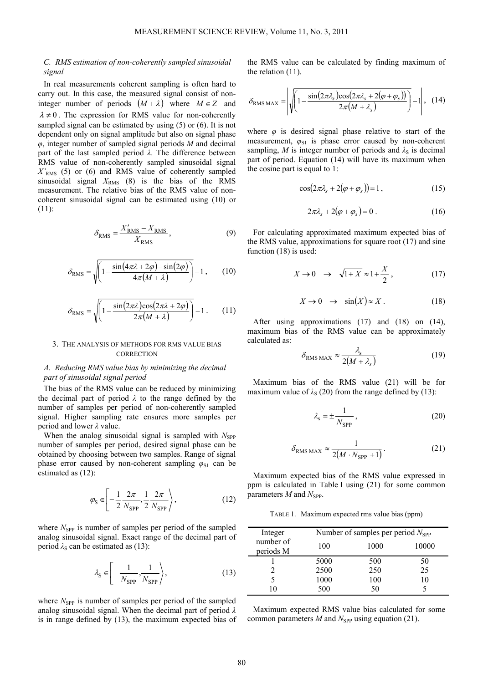# *C. RMS estimation of non-coherently sampled sinusoidal signal*

In real measurements coherent sampling is often hard to carry out. In this case, the measured signal consist of noninteger number of periods  $(M + \lambda)$  where  $M \in \mathbb{Z}$  and  $\lambda \neq 0$ . The expression for RMS value for non-coherently sampled signal can be estimated by using (5) or (6). It is not dependent only on signal amplitude but also on signal phase *φ*, integer number of sampled signal periods *M* and decimal part of the last sampled period *λ*. The difference between RMS value of non-coherently sampled sinusoidal signal *X'*RMS (5) or (6) and RMS value of coherently sampled sinusoidal signal  $X_{RMS}$  (8) is the bias of the RMS measurement. The relative bias of the RMS value of noncoherent sinusoidal signal can be estimated using (10) or (11):

$$
\delta_{\rm RMS} = \frac{X'_{\rm RMS} - X_{\rm RMS}}{X_{\rm RMS}},\tag{9}
$$

$$
\delta_{\rm RMS} = \sqrt{\left(1 - \frac{\sin\left(4\pi\lambda + 2\varphi\right) - \sin\left(2\varphi\right)}{4\pi\left(M + \lambda\right)}\right)} - 1\,,\qquad(10)
$$

$$
\delta_{\text{RMS}} = \sqrt{\left(1 - \frac{\sin(2\pi\lambda)\cos(2\pi\lambda + 2\varphi)}{2\pi(M + \lambda)}\right)} - 1. \tag{11}
$$

## 3. THE ANALYSIS OF METHODS FOR RMS VALUE BIAS **CORRECTION**

# *A. Reducing RMS value bias by minimizing the decimal part of sinusoidal signal period*

The bias of the RMS value can be reduced by minimizing the decimal part of period *λ* to the range defined by the number of samples per period of non-coherently sampled signal. Higher sampling rate ensures more samples per period and lower *λ* value.

When the analog sinusoidal signal is sampled with *N*<sub>SPP</sub> number of samples per period, desired signal phase can be obtained by choosing between two samples. Range of signal phase error caused by non-coherent sampling  $\varphi_{S1}$  can be estimated as (12):

$$
\varphi_{\rm S} \in \left[ -\frac{1}{2} \frac{2\pi}{N_{\rm SPP}}, \frac{1}{2} \frac{2\pi}{N_{\rm SPP}} \right),\tag{12}
$$

where  $N_{\text{SPP}}$  is number of samples per period of the sampled analog sinusoidal signal. Exact range of the decimal part of period  $\lambda_s$  can be estimated as (13):

$$
\lambda_{\rm S} \in \left[ -\frac{1}{N_{\rm SPP}}, \frac{1}{N_{\rm SPP}} \right),\tag{13}
$$

where *N*<sub>SPP</sub> is number of samples per period of the sampled analog sinusoidal signal. When the decimal part of period *λ* is in range defined by (13), the maximum expected bias of the RMS value can be calculated by finding maximum of the relation (11).

$$
\delta_{\text{RMS MAX}} = \left| \sqrt{\left(1 - \frac{\sin(2\pi\lambda_s)\cos(2\pi\lambda_s + 2(\varphi + \varphi_s))}{2\pi(M + \lambda_s)}\right)} - 1\right|, (14)
$$

where  $\varphi$  is desired signal phase relative to start of the measurement,  $\varphi_{S1}$  is phase error caused by non-coherent sampling, *M* is integer number of periods and  $\lambda_S$  is decimal part of period. Equation (14) will have its maximum when the cosine part is equal to 1:

$$
\cos(2\pi\lambda_s + 2(\varphi + \varphi_s)) = 1, \qquad (15)
$$

$$
2\pi\lambda_s + 2(\varphi + \varphi_s) = 0.
$$
 (16)

For calculating approximated maximum expected bias of the RMS value, approximations for square root (17) and sine function (18) is used:

$$
X \to 0 \quad \to \quad \sqrt{1+X} \approx 1 + \frac{X}{2}, \tag{17}
$$

$$
X \to 0 \quad \to \quad \sin(X) \approx X \,. \tag{18}
$$

After using approximations (17) and (18) on (14), maximum bias of the RMS value can be approximately calculated as:

$$
\delta_{\rm RMS\,MAX} \approx \frac{\lambda_{\rm s}}{2(M+\lambda_{\rm s})} \tag{19}
$$

Maximum bias of the RMS value (21) will be for maximum value of  $\lambda_s$  (20) from the range defined by (13):

$$
\lambda_{\rm s} = \pm \frac{1}{N_{\rm SPP}},\tag{20}
$$

$$
\delta_{\rm RMS\,MAX} \approx \frac{1}{2(M \cdot N_{\rm SPP} + 1)}.
$$
 (21)

Maximum expected bias of the RMS value expressed in ppm is calculated in Table I using (21) for some common parameters *M* and  $N_{\text{SPP}}$ .

TABLE 1. Maximum expected rms value bias (ppm)

| Integer                | Number of samples per period $N_{\rm SPP}$ |      |       |  |
|------------------------|--------------------------------------------|------|-------|--|
| number of<br>periods M | 100                                        | 1000 | 10000 |  |
|                        | 5000                                       | 500  | 50    |  |
|                        | 2500                                       | 250  | 25    |  |
|                        | 1000                                       | 100  | 10    |  |
|                        | 500                                        | 50   |       |  |

Maximum expected RMS value bias calculated for some common parameters *M* and  $N_{\text{SPP}}$  using equation (21).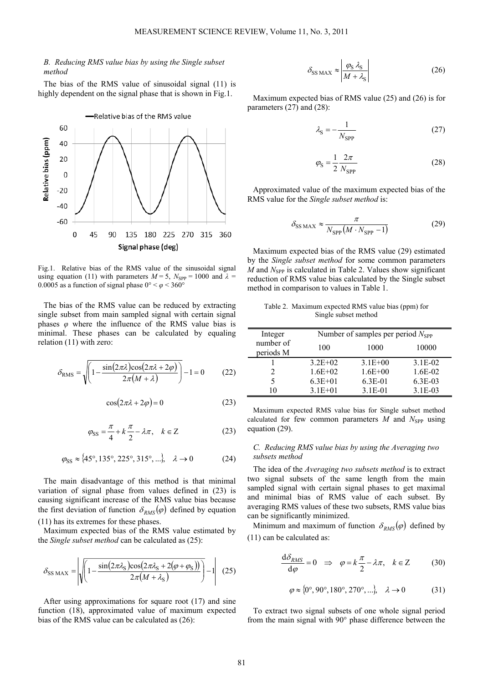# *B. Reducing RMS value bias by using the Single subset method*

The bias of the RMS value of sinusoidal signal (11) is highly dependent on the signal phase that is shown in Fig.1.



Fig.1. Relative bias of the RMS value of the sinusoidal signal using equation (11) with parameters  $M = 5$ ,  $N_{\text{SPP}} = 1000$  and  $\lambda =$ 0.0005 as a function of signal phase  $0^{\circ} < \varphi < 360^{\circ}$ 

The bias of the RMS value can be reduced by extracting single subset from main sampled signal with certain signal phases  $\varphi$  where the influence of the RMS value bias is minimal. These phases can be calculated by equaling relation (11) with zero:

$$
\delta_{\rm RMS} = \sqrt{\left(1 - \frac{\sin(2\pi\lambda)\cos(2\pi\lambda + 2\varphi)}{2\pi(M + \lambda)}\right)} - 1 = 0 \tag{22}
$$

$$
\cos(2\pi\lambda + 2\varphi) = 0\tag{23}
$$

$$
\varphi_{\rm SS} = \frac{\pi}{4} + k\frac{\pi}{2} - \lambda\pi, \quad k \in \mathbb{Z}
$$
 (23)

$$
\varphi_{SS} \approx \{45^\circ, 135^\circ, 225^\circ, 315^\circ, ...\}, \quad \lambda \to 0
$$
 (24)

The main disadvantage of this method is that minimal variation of signal phase from values defined in (23) is causing significant increase of the RMS value bias because the first deviation of function  $\delta_{RMS}(\varphi)$  defined by equation (11) has its extremes for these phases.

Maximum expected bias of the RMS value estimated by the *Single subset method* can be calculated as (25):

$$
\delta_{\text{SS MAX}} = \left| \sqrt{\left( 1 - \frac{\sin(2\pi\lambda_{\text{S}})\cos(2\pi\lambda_{\text{S}} + 2(\varphi + \varphi_{\text{S}}))}{2\pi(M + \lambda_{\text{S}})} \right)} - 1 \right| \tag{25}
$$

After using approximations for square root (17) and sine function (18), approximated value of maximum expected bias of the RMS value can be calculated as (26):

$$
\delta_{\text{SS MAX}} \approx \left| \frac{\varphi_{\text{S}} \lambda_{\text{S}}}{M + \lambda_{\text{S}}} \right| \tag{26}
$$

Maximum expected bias of RMS value (25) and (26) is for parameters (27) and (28):

$$
\lambda_{\rm S} = -\frac{1}{N_{\rm SPP}}\tag{27}
$$

$$
\varphi_{\rm S} = \frac{1}{2} \frac{2\pi}{N_{\rm SPP}} \tag{28}
$$

Approximated value of the maximum expected bias of the RMS value for the *Single subset method* is:

$$
\delta_{\text{SS MAX}} \approx \frac{\pi}{N_{\text{SPP}}(M \cdot N_{\text{SPP}} - 1)}
$$
(29)

Maximum expected bias of the RMS value (29) estimated by the *Single subset method* for some common parameters  $M$  and  $N_{\text{SPP}}$  is calculated in Table 2. Values show significant reduction of RMS value bias calculated by the Single subset method in comparison to values in Table 1.

|                      | Table 2. Maximum expected RMS value bias (ppm) for |  |  |  |  |  |
|----------------------|----------------------------------------------------|--|--|--|--|--|
| Single subset method |                                                    |  |  |  |  |  |

| Integer                | Number of samples per period $N_{\rm SPP}$ |             |           |
|------------------------|--------------------------------------------|-------------|-----------|
| number of<br>periods M | 100                                        | 1000        | 10000     |
|                        | $3.2E + 02$                                | $3.1E + 00$ | $3.1E-02$ |
|                        | $1.6E + 02$                                | $1.6E + 00$ | 1.6E-02   |
| 5                      | $6.3E + 01$                                | $6.3E-01$   | $6.3E-03$ |
|                        | $3.1E + 01$                                | $3.1E-01$   | $3.1E-03$ |

Maximum expected RMS value bias for Single subset method calculated for few common parameters  $M$  and  $N_{\text{SPP}}$  using equation (29).

## *C. Reducing RMS value bias by using the Averaging two subsets method*

The idea of the *Averaging two subsets method* is to extract two signal subsets of the same length from the main sampled signal with certain signal phases to get maximal and minimal bias of RMS value of each subset. By averaging RMS values of these two subsets, RMS value bias can be significantly minimized.

Minimum and maximum of function  $\delta_{RMS}(\varphi)$  defined by (11) can be calculated as:

$$
\frac{\mathrm{d}\delta_{RMS}}{\mathrm{d}\varphi} = 0 \quad \Rightarrow \quad \varphi = k\frac{\pi}{2} - \lambda\pi, \quad k \in \mathbb{Z} \tag{30}
$$

$$
\varphi \approx \{0^{\circ}, 90^{\circ}, 180^{\circ}, 270^{\circ}, \ldots \}, \quad \lambda \to 0 \tag{31}
$$

To extract two signal subsets of one whole signal period from the main signal with 90° phase difference between the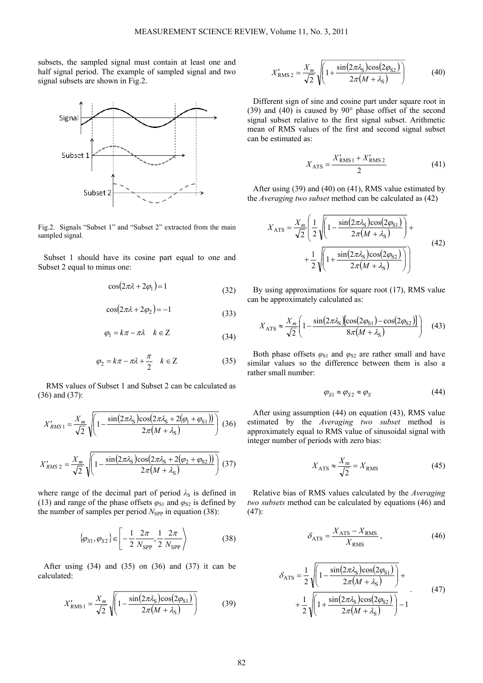subsets, the sampled signal must contain at least one and half signal period. The example of sampled signal and two signal subsets are shown in Fig.2.



Fig.2. Signals "Subset 1" and "Subset 2" extracted from the main sampled signal.

Subset 1 should have its cosine part equal to one and Subset 2 equal to minus one:

$$
\cos(2\pi\lambda + 2\varphi_1) = 1\tag{32}
$$

$$
\cos(2\pi\lambda + 2\varphi_2) = -1\tag{33}
$$

$$
\varphi_1 = k\pi - \pi\lambda \quad k \in \mathbb{Z} \tag{34}
$$

$$
\varphi_2 = k\pi - \pi\lambda + \frac{\pi}{2} \quad k \in \mathbb{Z} \tag{35}
$$

RMS values of Subset 1 and Subset 2 can be calculated as (36) and (37):

$$
X'_{RMS1} = \frac{X_m}{\sqrt{2}} \sqrt{1 - \frac{\sin(2\pi\lambda_S)\cos(2\pi\lambda_S + 2(\varphi_1 + \varphi_{S1}))}{2\pi(M + \lambda_S)}} \quad (36)
$$

$$
X'_{RMS2} = \frac{X_m}{\sqrt{2}} \sqrt{1 - \frac{\sin(2\pi\lambda_S)\cos(2\pi\lambda_S + 2(\varphi_2 + \varphi_{S2}))}{2\pi(M + \lambda_S)}} \quad (37)
$$

where range of the decimal part of period  $\lambda_{\rm S}$  is defined in (13) and range of the phase offsets  $\varphi_{S1}$  and  $\varphi_{S2}$  is defined by the number of samples per period  $N_{\text{SPP}}$  in equation (38):

$$
\{\varphi_{S1}, \varphi_{S2}\} \in \left[ -\frac{1}{2} \frac{2\pi}{N_{\text{SPP}}} , \frac{1}{2} \frac{2\pi}{N_{\text{SPP}}} \right) \tag{38}
$$

After using  $(34)$  and  $(35)$  on  $(36)$  and  $(37)$  it can be calculated:

$$
X'_{\text{RMS1}} = \frac{X_m}{\sqrt{2}} \sqrt{1 - \frac{\sin(2\pi\lambda_{\text{S}})\cos(2\varphi_{\text{S1}})}{2\pi(M + \lambda_{\text{S}})}}\tag{39}
$$

$$
X'_{\text{RMS 2}} = \frac{X_m}{\sqrt{2}} \sqrt{1 + \frac{\sin(2\pi\lambda_S)\cos(2\varphi_{S2})}{2\pi(M + \lambda_S)}}\tag{40}
$$

Different sign of sine and cosine part under square root in (39) and (40) is caused by 90° phase offset of the second signal subset relative to the first signal subset. Arithmetic mean of RMS values of the first and second signal subset can be estimated as:

$$
X_{\text{ATS}} = \frac{X'_{\text{RMS1}} + X'_{\text{RMS2}}}{2} \tag{41}
$$

After using (39) and (40) on (41), RMS value estimated by the *Averaging two subset* method can be calculated as (42)

$$
X_{\text{ATS}} = \frac{X_m}{\sqrt{2}} \left( \frac{1}{2} \sqrt{\left( 1 - \frac{\sin(2\pi \lambda_S) \cos(2\varphi_{S1})}{2\pi (M + \lambda_S)} \right)} + \frac{1}{2} \sqrt{\left( 1 + \frac{\sin(2\pi \lambda_S) \cos(2\varphi_{S2})}{2\pi (M + \lambda_S)} \right)} \right)
$$
(42)

By using approximations for square root (17), RMS value can be approximately calculated as:

$$
X_{\text{ATS}} \approx \frac{X_m}{\sqrt{2}} \left( 1 - \frac{\sin(2\pi\lambda_S) \left[ \cos(2\varphi_{S1}) - \cos(2\varphi_{S2}) \right]}{8\pi (M + \lambda_S)} \right) \tag{43}
$$

Both phase offsets  $\varphi_{S1}$  and  $\varphi_{S2}$  are rather small and have similar values so the difference between them is also a rather small number:

$$
\varphi_{S1} \approx \varphi_{S2} \approx \varphi_S \tag{44}
$$

After using assumption (44) on equation (43), RMS value estimated by the *Averaging two subset* method is approximately equal to RMS value of sinusoidal signal with integer number of periods with zero bias:

$$
X_{\text{ATS}} \approx \frac{X_{\text{m}}}{\sqrt{2}} = X_{\text{RMS}} \tag{45}
$$

Relative bias of RMS values calculated by the *Averaging two subsets* method can be calculated by equations (46) and (47):

$$
\delta_{\text{ATS}} = \frac{X_{\text{ATS}} - X_{\text{RMS}}}{X_{\text{RMS}}},\tag{46}
$$

$$
\delta_{\text{ATS}} = \frac{1}{2} \sqrt{\left(1 - \frac{\sin(2\pi\lambda_{\text{S}})\cos(2\varphi_{\text{S1}})}{2\pi(M + \lambda_{\text{S}})}\right)} + \frac{1}{2} \sqrt{\left(1 + \frac{\sin(2\pi\lambda_{\text{S}})\cos(2\varphi_{\text{S2}})}{2\pi(M + \lambda_{\text{S}})}\right)} - 1
$$
\n(47)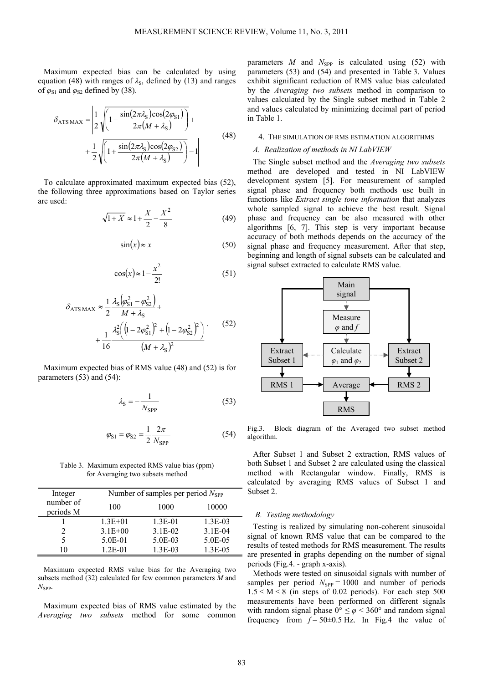Maximum expected bias can be calculated by using equation (48) with ranges of  $\lambda_{\rm S}$ , defined by (13) and ranges of  $\varphi_{S1}$  and  $\varphi_{S2}$  defined by (38).

$$
\delta_{\text{ATS MAX}} = \left| \frac{1}{2} \sqrt{\left( 1 - \frac{\sin(2\pi \lambda_{\text{S}}) \cos(2\varphi_{\text{S1}})}{2\pi (M + \lambda_{\text{S}})} \right)} + \frac{1}{2} \sqrt{\left( 1 + \frac{\sin(2\pi \lambda_{\text{S}}) \cos(2\varphi_{\text{S2}})}{2\pi (M + \lambda_{\text{S}})} \right)} - 1 \right| \tag{48}
$$

To calculate approximated maximum expected bias (52), the following three approximations based on Taylor series are used:

$$
\sqrt{1+X} \approx 1 + \frac{X}{2} - \frac{X^2}{8}
$$
 (49)

$$
\sin(x) \approx x \tag{50}
$$

$$
\cos(x) \approx 1 - \frac{x^2}{2!} \tag{51}
$$

$$
\delta_{\text{ATS MAX}} \approx \frac{1}{2} \frac{\lambda_{\text{S}} (\varphi_{\text{S1}}^2 - \varphi_{\text{S2}}^2)}{M + \lambda_{\text{S}}} + \frac{1}{16} \frac{\lambda_{\text{S}}^2 ((1 - 2\varphi_{\text{S1}}^2)^2 + (1 - 2\varphi_{\text{S2}}^2)^2)}{(M + \lambda_{\text{S}})^2}.
$$
(52)

Maximum expected bias of RMS value (48) and (52) is for parameters (53) and (54):

$$
\lambda_{\rm S} = -\frac{1}{N_{\rm SPP}}\tag{53}
$$

$$
\varphi_{S1} = \varphi_{S2} = \frac{1}{2} \frac{2\pi}{N_{\text{SPP}}} \tag{54}
$$

Table 3. Maximum expected RMS value bias (ppm) for Averaging two subsets method

| Integer                | Number of samples per period $N_{\rm SPP}$ |           |            |
|------------------------|--------------------------------------------|-----------|------------|
| number of<br>periods M | 100                                        | 1000      | 10000      |
|                        | $1.3E + 01$                                | $1.3E-01$ | $1.3E-03$  |
|                        | $3.1E + 00$                                | $3.1E-02$ | $3.1E-04$  |
|                        | 5.0E-01                                    | 5.0E-03   | 5.0E-05    |
| ۱0                     | $1.2E - 01$                                | $1.3E-03$ | $1.3E-0.5$ |

Maximum expected RMS value bias for the Averaging two subsets method (32) calculated for few common parameters *M* and  $N_{\rm SPP}$ .

Maximum expected bias of RMS value estimated by the *Averaging two subsets* method for some common parameters  $M$  and  $N_{\text{SPP}}$  is calculated using (52) with parameters (53) and (54) and presented in Table 3. Values exhibit significant reduction of RMS value bias calculated by the *Averaging two subsets* method in comparison to values calculated by the Single subset method in Table 2 and values calculated by minimizing decimal part of period in Table 1.

# 4. THE SIMULATION OF RMS ESTIMATION ALGORITHMS

# *A. Realization of methods in NI LabVIEW*

The Single subset method and the *Averaging two subsets* method are developed and tested in NI LabVIEW development system [5]. For measurement of sampled signal phase and frequency both methods use built in functions like *Extract single tone information* that analyzes whole sampled signal to achieve the best result. Signal phase and frequency can be also measured with other algorithms [6, 7]. This step is very important because accuracy of both methods depends on the accuracy of the signal phase and frequency measurement. After that step, beginning and length of signal subsets can be calculated and signal subset extracted to calculate RMS value.



Fig.3. Block diagram of the Averaged two subset method algorithm.

After Subset 1 and Subset 2 extraction, RMS values of both Subset 1 and Subset 2 are calculated using the classical method with Rectangular window. Finally, RMS is calculated by averaging RMS values of Subset 1 and Subset 2.

# *B. Testing methodology*

Testing is realized by simulating non-coherent sinusoidal signal of known RMS value that can be compared to the results of tested methods for RMS measurement. The results are presented in graphs depending on the number of signal periods (Fig.4. - graph x-axis).

Methods were tested on sinusoidal signals with number of samples per period  $N_{\text{SPP}} = 1000$  and number of periods  $1.5 < M < 8$  (in steps of 0.02 periods). For each step 500 measurements have been performed on different signals with random signal phase  $0^{\circ} \le \varphi < 360^{\circ}$  and random signal frequency from  $f = 50 \pm 0.5$  Hz. In Fig.4 the value of